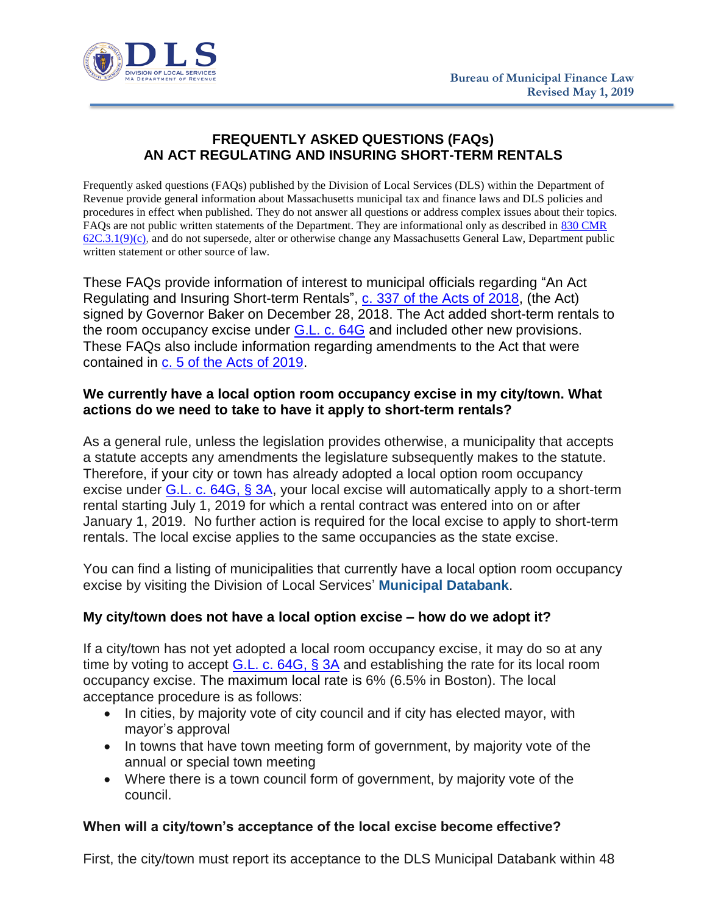

# **FREQUENTLY ASKED QUESTIONS (FAQs) AN ACT REGULATING AND INSURING SHORT-TERM RENTALS**

Frequently asked questions (FAQs) published by the Division of Local Services (DLS) within the Department of Revenue provide general information about Massachusetts municipal tax and finance laws and DLS policies and procedures in effect when published. They do not answer all questions or address complex issues about their topics. FAQs are not public written statements of the Department. They are informational only as described in [830 CMR](https://www.mass.gov/regulations/830-CMR-62c31-department-of-revenue-public-written-statements)   $62C.3.1(9)(c)$ , and do not supersede, alter or otherwise change any Massachusetts General Law, Department public written statement or other source of law.

These FAQs provide information of interest to municipal officials regarding "An Act Regulating and Insuring Short-term Rentals", [c. 337 of the Acts of 2018,](https://malegislature.gov/Laws/SessionLaws/Acts/2018/Chapter337) (the Act) signed by Governor Baker on December 28, 2018. The Act added short-term rentals to the room occupancy excise under [G.L. c. 64G](https://malegislature.gov/Laws/GeneralLaws/PartI/TitleIX/Chapter64G) and included other new provisions. These FAQs also include information regarding amendments to the Act that were contained in [c. 5 of the Acts of 2019.](https://malegislature.gov/Laws/SessionLaws/Acts/2019/Chapter5)

#### **We currently have a local option room occupancy excise in my city/town. What actions do we need to take to have it apply to short-term rentals?**

As a general rule, unless the legislation provides otherwise, a municipality that accepts a statute accepts any amendments the legislature subsequently makes to the statute. Therefore, if your city or town has already adopted a local option room occupancy excise under [G.L. c. 64G, § 3A,](https://malegislature.gov/Laws/GeneralLaws/PartI/TitleIX/Chapter64G/Section3A) your local excise will automatically apply to a short-term rental starting July 1, 2019 for which a rental contract was entered into on or after January 1, 2019. No further action is required for the local excise to apply to short-term rentals. The local excise applies to the same occupancies as the state excise.

You can find a listing of municipalities that currently have a local option room occupancy excise by visiting the Division of Local Services' **[Municipal](https://dlsgateway.dor.state.ma.us/reports/rdPage.aspx?rdReport=LocalOptions.Local_Options_Tax&rdDataCache=6215566529&rdShowModes=&rdSort=&rdNewPageNr=True1&rdRequestForwarding=Form) Databank**.

#### **My city/town does not have a local option excise – how do we adopt it?**

If a city/town has not yet adopted a local room occupancy excise, it may do so at any time by voting to accept  $G.L. c. 64G, S3A$  and establishing the rate for its local room occupancy excise. The maximum local rate is 6% (6.5% in Boston). The local acceptance procedure is as follows:

- In cities, by majority vote of city council and if city has elected mayor, with mayor's approval
- In towns that have town meeting form of government, by majority vote of the annual or special town meeting
- Where there is a town council form of government, by majority vote of the council.

# **When will a city/town's acceptance of the local excise become effective?**

First, the city/town must report its acceptance to the DLS Municipal Databank within 48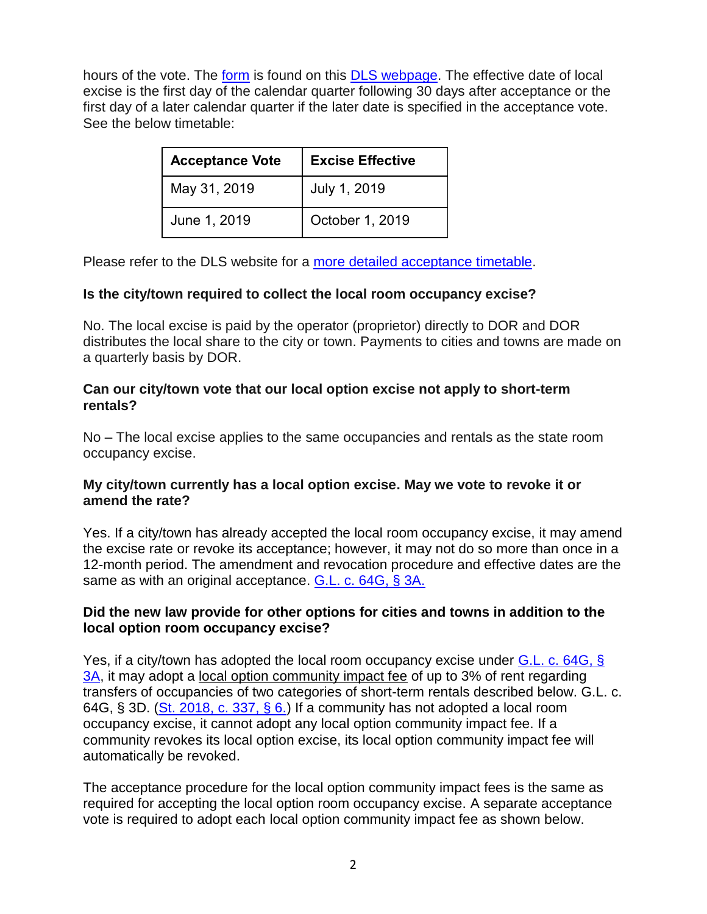hours of the vote. The [form](https://www.mass.gov/media/1588561/download) is found on this **DLS webpage**. The effective date of local excise is the first day of the calendar quarter following 30 days after acceptance or the first day of a later calendar quarter if the later date is specified in the acceptance vote. See the below timetable:

| <b>Acceptance Vote</b> | <b>Excise Effective</b> |
|------------------------|-------------------------|
| May 31, 2019           | July 1, 2019            |
| June 1, 2019           | October 1, 2019         |

Please refer to the DLS website for a [more detailed acceptance timetable.](https://www.mass.gov/files/documents/2018/10/15/loexcisetaxtimetable.pdf)

#### **Is the city/town required to collect the local room occupancy excise?**

No. The local excise is paid by the operator (proprietor) directly to DOR and DOR distributes the local share to the city or town. Payments to cities and towns are made on a quarterly basis by DOR.

#### **Can our city/town vote that our local option excise not apply to short-term rentals?**

No – The local excise applies to the same occupancies and rentals as the state room occupancy excise.

### **My city/town currently has a local option excise. May we vote to revoke it or amend the rate?**

Yes. If a city/town has already accepted the local room occupancy excise, it may amend the excise rate or revoke its acceptance; however, it may not do so more than once in a 12-month period. The amendment and revocation procedure and effective dates are the same as with an original acceptance. [G.L. c. 64G, § 3A.](https://malegislature.gov/Laws/GeneralLaws/PartI/TitleIX/Chapter64G/Section3A)

### **Did the new law provide for other options for cities and towns in addition to the local option room occupancy excise?**

Yes, if a city/town has adopted the local room occupancy excise under [G.L. c. 64G, §](https://malegislature.gov/Laws/GeneralLaws/PartI/TitleIX/Chapter64G/Section3A) [3A,](https://malegislature.gov/Laws/GeneralLaws/PartI/TitleIX/Chapter64G/Section3A) it may adopt a local option community impact fee of up to 3% of rent regarding transfers of occupancies of two categories of short-term rentals described below. G.L. c. 64G, § 3D. [\(St. 2018, c. 337, § 6.\)](https://malegislature.gov/Laws/SessionLaws/Acts/2018/Chapter337) If a community has not adopted a local room occupancy excise, it cannot adopt any local option community impact fee. If a community revokes its local option excise, its local option community impact fee will automatically be revoked.

The acceptance procedure for the local option community impact fees is the same as required for accepting the local option room occupancy excise. A separate acceptance vote is required to adopt each local option community impact fee as shown below.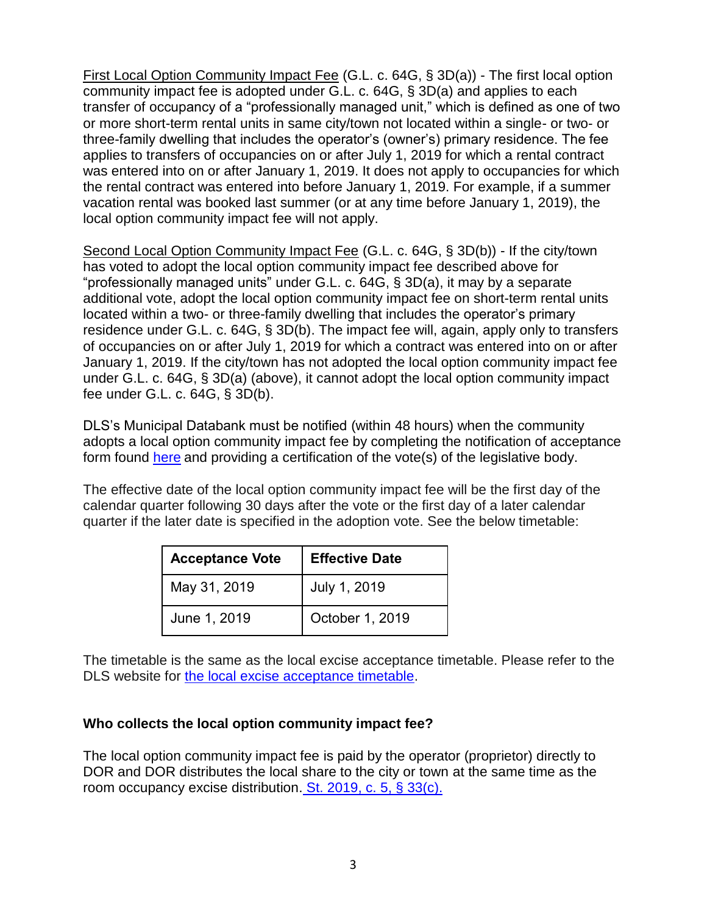First Local Option Community Impact Fee (G.L. c. 64G, § 3D(a)) - The first local option community impact fee is adopted under G.L. c. 64G, § 3D(a) and applies to each transfer of occupancy of a "professionally managed unit," which is defined as one of two or more short-term rental units in same city/town not located within a single- or two- or three-family dwelling that includes the operator's (owner's) primary residence. The fee applies to transfers of occupancies on or after July 1, 2019 for which a rental contract was entered into on or after January 1, 2019. It does not apply to occupancies for which the rental contract was entered into before January 1, 2019. For example, if a summer vacation rental was booked last summer (or at any time before January 1, 2019), the local option community impact fee will not apply.

Second Local Option Community Impact Fee (G.L. c. 64G, § 3D(b)) - If the city/town has voted to adopt the local option community impact fee described above for "professionally managed units" under G.L. c. 64G, § 3D(a), it may by a separate additional vote, adopt the local option community impact fee on short-term rental units located within a two- or three-family dwelling that includes the operator's primary residence under G.L. c. 64G, § 3D(b). The impact fee will, again, apply only to transfers of occupancies on or after July 1, 2019 for which a contract was entered into on or after January 1, 2019. If the city/town has not adopted the local option community impact fee under G.L. c. 64G, § 3D(a) (above), it cannot adopt the local option community impact fee under G.L. c. 64G, § 3D(b).

DLS's Municipal Databank must be notified (within 48 hours) when the community adopts a local option community impact fee by completing the notification of acceptance form found [here](https://www.mass.gov/doc/community-impact-fee-short-term-rentals/download) and providing a certification of the vote(s) of the legislative body.

The effective date of the local option community impact fee will be the first day of the calendar quarter following 30 days after the vote or the first day of a later calendar quarter if the later date is specified in the adoption vote. See the below timetable:

| <b>Acceptance Vote</b> | <b>Effective Date</b> |
|------------------------|-----------------------|
| May 31, 2019           | July 1, 2019          |
| June 1, 2019           | October 1, 2019       |

The timetable is the same as the local excise acceptance timetable. Please refer to the DLS website for [the local excise acceptance timetable.](https://www.mass.gov/files/documents/2018/10/15/loexcisetaxtimetable.pdf)

# **Who collects the local option community impact fee?**

The local option community impact fee is paid by the operator (proprietor) directly to DOR and DOR distributes the local share to the city or town at the same time as the room occupancy excise distribution. [St. 2019, c. 5, § 33\(c\).](https://malegislature.gov/Laws/SessionLaws/Acts/2019/Chapter5)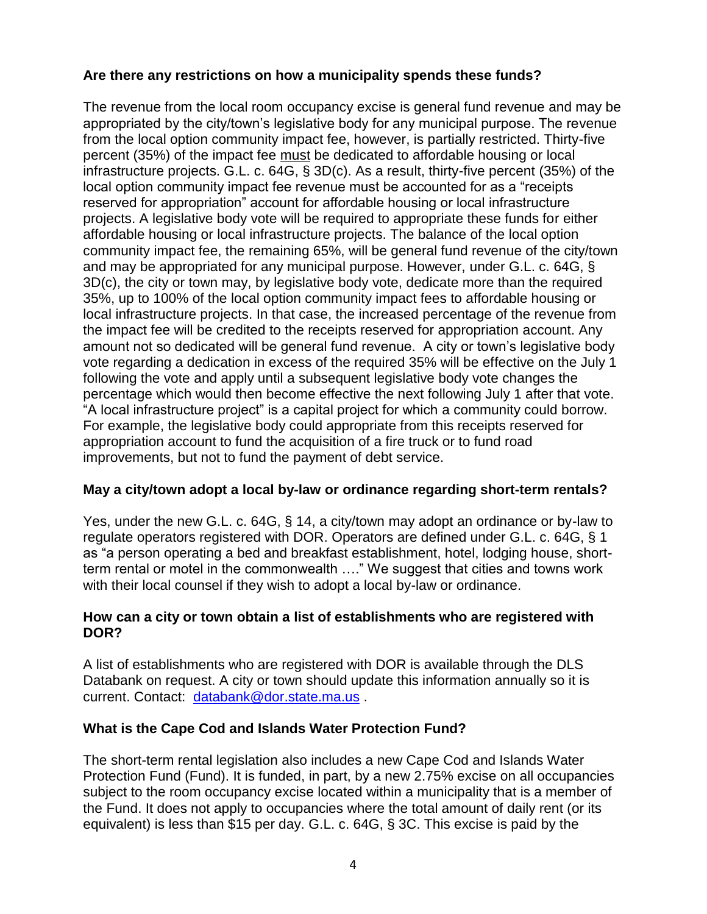# **Are there any restrictions on how a municipality spends these funds?**

The revenue from the local room occupancy excise is general fund revenue and may be appropriated by the city/town's legislative body for any municipal purpose. The revenue from the local option community impact fee, however, is partially restricted. Thirty-five percent (35%) of the impact fee must be dedicated to affordable housing or local infrastructure projects. G.L. c. 64G, § 3D(c). As a result, thirty-five percent (35%) of the local option community impact fee revenue must be accounted for as a "receipts reserved for appropriation" account for affordable housing or local infrastructure projects. A legislative body vote will be required to appropriate these funds for either affordable housing or local infrastructure projects. The balance of the local option community impact fee, the remaining 65%, will be general fund revenue of the city/town and may be appropriated for any municipal purpose. However, under G.L. c. 64G, § 3D(c), the city or town may, by legislative body vote, dedicate more than the required 35%, up to 100% of the local option community impact fees to affordable housing or local infrastructure projects. In that case, the increased percentage of the revenue from the impact fee will be credited to the receipts reserved for appropriation account. Any amount not so dedicated will be general fund revenue. A city or town's legislative body vote regarding a dedication in excess of the required 35% will be effective on the July 1 following the vote and apply until a subsequent legislative body vote changes the percentage which would then become effective the next following July 1 after that vote. "A local infrastructure project" is a capital project for which a community could borrow. For example, the legislative body could appropriate from this receipts reserved for appropriation account to fund the acquisition of a fire truck or to fund road improvements, but not to fund the payment of debt service.

# **May a city/town adopt a local by-law or ordinance regarding short-term rentals?**

Yes, under the new G.L. c. 64G, § 14, a city/town may adopt an ordinance or by-law to regulate operators registered with DOR. Operators are defined under G.L. c. 64G, § 1 as "a person operating a bed and breakfast establishment, hotel, lodging house, shortterm rental or motel in the commonwealth …." We suggest that cities and towns work with their local counsel if they wish to adopt a local by-law or ordinance.

### **How can a city or town obtain a list of establishments who are registered with DOR?**

A list of establishments who are registered with DOR is available through the DLS Databank on request. A city or town should update this information annually so it is current. Contact: [databank@dor.state.ma.us](mailto:databank@dor.state.ma.us) .

# **What is the Cape Cod and Islands Water Protection Fund?**

The short-term rental legislation also includes a new Cape Cod and Islands Water Protection Fund (Fund). It is funded, in part, by a new 2.75% excise on all occupancies subject to the room occupancy excise located within a municipality that is a member of the Fund. It does not apply to occupancies where the total amount of daily rent (or its equivalent) is less than \$15 per day. G.L. c. 64G, § 3C. This excise is paid by the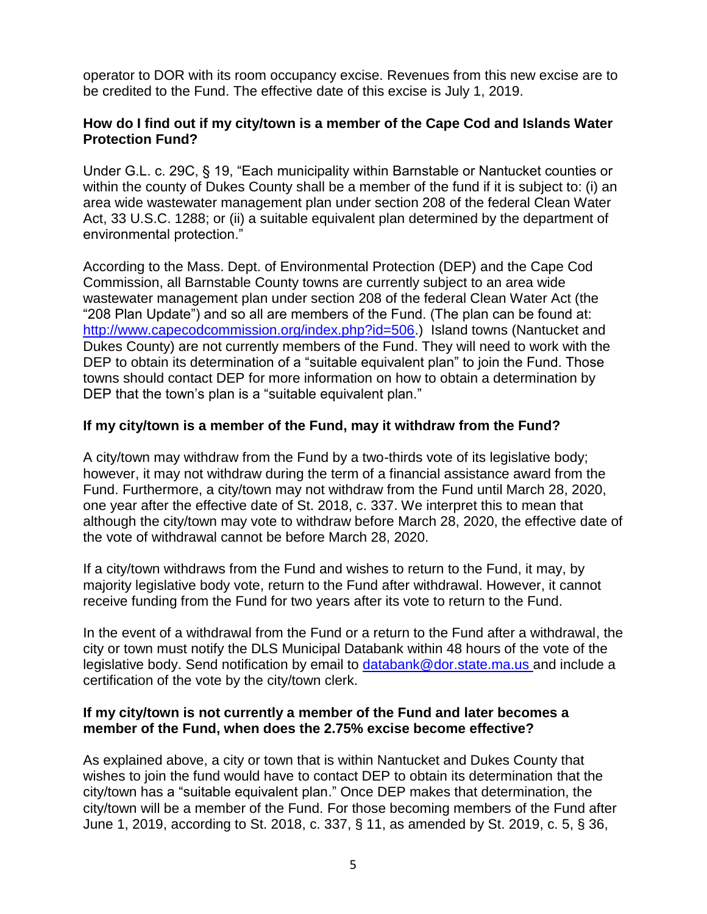operator to DOR with its room occupancy excise. Revenues from this new excise are to be credited to the Fund. The effective date of this excise is July 1, 2019.

#### **How do I find out if my city/town is a member of the Cape Cod and Islands Water Protection Fund?**

Under G.L. c. 29C, § 19, "Each municipality within Barnstable or Nantucket counties or within the county of Dukes County shall be a member of the fund if it is subject to: (i) an area wide wastewater management plan under section 208 of the federal Clean Water Act, 33 U.S.C. 1288; or (ii) a suitable equivalent plan determined by the department of environmental protection."

According to the Mass. Dept. of Environmental Protection (DEP) and the Cape Cod Commission, all Barnstable County towns are currently subject to an area wide wastewater management plan under section 208 of the federal Clean Water Act (the "208 Plan Update") and so all are members of the Fund. (The plan can be found at: [http://www.capecodcommission.org/index.php?id=506.](http://www.capecodcommission.org/index.php?id=506)) Island towns (Nantucket and Dukes County) are not currently members of the Fund. They will need to work with the DEP to obtain its determination of a "suitable equivalent plan" to join the Fund. Those towns should contact DEP for more information on how to obtain a determination by DEP that the town's plan is a "suitable equivalent plan."

### **If my city/town is a member of the Fund, may it withdraw from the Fund?**

A city/town may withdraw from the Fund by a two-thirds vote of its legislative body; however, it may not withdraw during the term of a financial assistance award from the Fund. Furthermore, a city/town may not withdraw from the Fund until March 28, 2020, one year after the effective date of St. 2018, c. 337. We interpret this to mean that although the city/town may vote to withdraw before March 28, 2020, the effective date of the vote of withdrawal cannot be before March 28, 2020.

If a city/town withdraws from the Fund and wishes to return to the Fund, it may, by majority legislative body vote, return to the Fund after withdrawal. However, it cannot receive funding from the Fund for two years after its vote to return to the Fund.

In the event of a withdrawal from the Fund or a return to the Fund after a withdrawal, the city or town must notify the DLS Municipal Databank within 48 hours of the vote of the legislative body. Send notification by email to [databank@dor.state.ma.us](mailto:databank@dor.state.ma.us) and include a certification of the vote by the city/town clerk.

#### **If my city/town is not currently a member of the Fund and later becomes a member of the Fund, when does the 2.75% excise become effective?**

As explained above, a city or town that is within Nantucket and Dukes County that wishes to join the fund would have to contact DEP to obtain its determination that the city/town has a "suitable equivalent plan." Once DEP makes that determination, the city/town will be a member of the Fund. For those becoming members of the Fund after June 1, 2019, according to St. 2018, c. 337, § 11, as amended by St. 2019, c. 5, § 36,